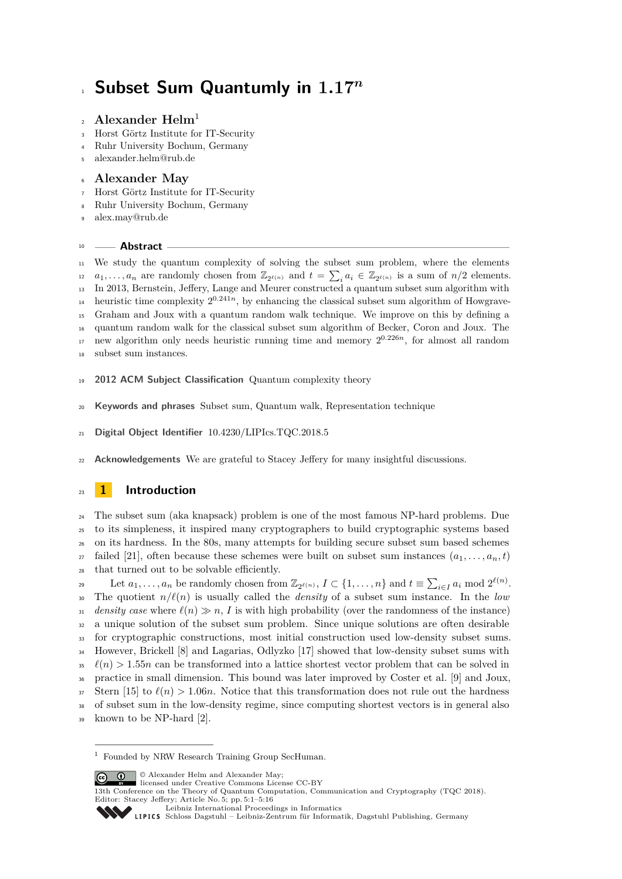# **Subset Sum Quantumly in 1***.***17***<sup>n</sup>*

#### **Alexander Helm**<sup>1</sup>  $\overline{2}$

- Horst Görtz Institute for IT-Security
- Ruhr University Bochum, Germany
- [alexander.helm@rub.de](mailto:alexander.helm@rub.de)

#### **Alexander May**

- Horst Görtz Institute for IT-Security
- Ruhr University Bochum, Germany
- [alex.may@rub.de](mailto:alex.may@rub.de)

#### **Abstract**

 We study the quantum complexity of solving the subset sum problem, where the elements  $a_1, \ldots, a_n$  are randomly chosen from  $\mathbb{Z}_{2^{\ell(n)}}$  and  $t = \sum_i a_i \in \mathbb{Z}_{2^{\ell(n)}}$  is a sum of  $n/2$  elements. In 2013, Bernstein, Jeffery, Lange and Meurer constructed a quantum subset sum algorithm with heuristic time complexity  $2^{0.241n}$ , by enhancing the classical subset sum algorithm of Howgrave- Graham and Joux with a quantum random walk technique. We improve on this by defining a quantum random walk for the classical subset sum algorithm of Becker, Coron and Joux. The new algorithm only needs heuristic running time and memory  $2^{0.226n}$ , for almost all random subset sum instances.

- **2012 ACM Subject Classification** Quantum complexity theory
- **Keywords and phrases** Subset sum, Quantum walk, Representation technique
- **Digital Object Identifier** [10.4230/LIPIcs.TQC.2018.5](http://dx.doi.org/10.4230/LIPIcs.TQC.2018.5)
- **Acknowledgements** We are grateful to Stacey Jeffery for many insightful discussions.

## **1 Introduction**

 The subset sum (aka knapsack) problem is one of the most famous NP-hard problems. Due to its simpleness, it inspired many cryptographers to build cryptographic systems based on its hardness. In the 80s, many attempts for building secure subset sum based schemes  $_{27}$  failed [\[21\]](#page-15-0), often because these schemes were built on subset sum instances  $(a_1, \ldots, a_n, t)$ that turned out to be solvable efficiently.

Let  $a_1, \ldots, a_n$  be randomly chosen from  $\mathbb{Z}_{2^{\ell(n)}}, I \subset \{1, \ldots, n\}$  and  $t \equiv \sum_{i \in I} a_i \mod 2^{\ell(n)}$ . <sup>30</sup> The quotient  $n/\ell(n)$  is usually called the *density* of a subset sum instance. In the *low density case* where  $\ell(n) \gg n$ , *I* is with high probability (over the randomness of the instance) a unique solution of the subset sum problem. Since unique solutions are often desirable for cryptographic constructions, most initial construction used low-density subset sums. However, Brickell [\[8\]](#page-14-0) and Lagarias, Odlyzko [\[17\]](#page-15-1) showed that low-density subset sums with  $\ell(n) > 1.55n$  can be transformed into a lattice shortest vector problem that can be solved in practice in small dimension. This bound was later improved by Coster et al. [\[9\]](#page-14-1) and Joux,  $\sum_{37}$  Stern [\[15\]](#page-14-2) to  $\ell(n) > 1.06n$ . Notice that this transformation does not rule out the hardness of subset sum in the low-density regime, since computing shortest vectors is in general also known to be NP-hard [\[2\]](#page-14-3).

 $\boxed{\text{ce}}$   $\boxed{\text{O}}$   $\boxed{\text{O}}$  Alexander Helm and Alexander Mav: licensed under Creative Commons License CC-BY

 $^{\rm 1}$  Founded by NRW Research Training Group SecHuman.

<sup>13</sup>th Conference on the Theory of Quantum Computation, Communication and Cryptography (TQC 2018). Editor: Stacey Jeffery; Article No. 5; pp. 5:1–5[:16](#page-15-2)

[Leibniz International Proceedings in Informatics](http://www.dagstuhl.de/lipics/)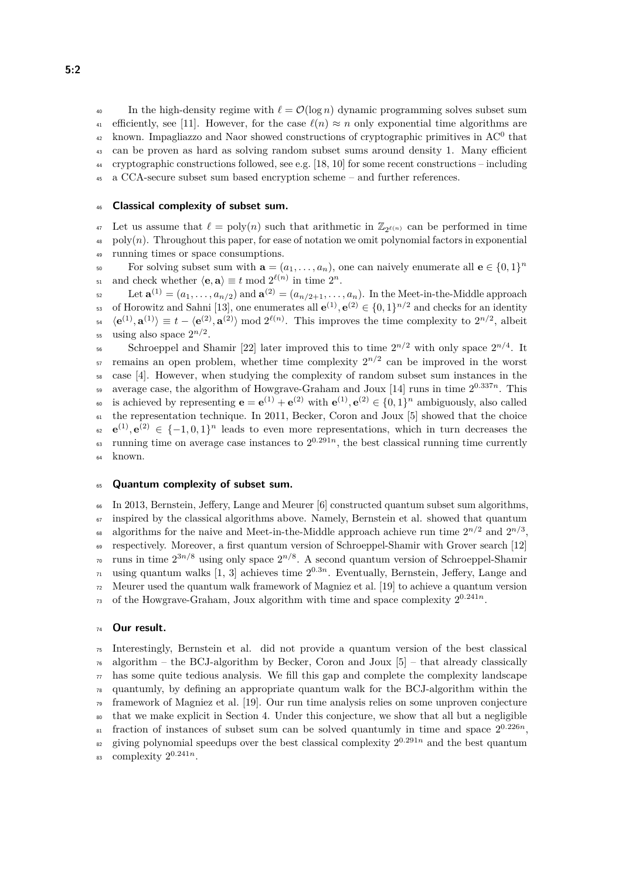40 In the high-density regime with  $\ell = \mathcal{O}(\log n)$  dynamic programming solves subset sum 41 efficiently, see [\[11\]](#page-14-4). However, for the case  $\ell(n) \approx n$  only exponential time algorithms are  $k_{42}$  known. Impagliazzo and Naor showed constructions of cryptographic primitives in AC<sup>0</sup> that <sup>43</sup> can be proven as hard as solving random subset sums around density 1. Many efficient <sup>44</sup> cryptographic constructions followed, see e.g. [\[18,](#page-15-3) [10\]](#page-14-5) for some recent constructions – including <sup>45</sup> a CCA-secure subset sum based encryption scheme – and further references.

#### <sup>46</sup> **Classical complexity of subset sum.**

<sup>47</sup> Let us assume that  $\ell = \text{poly}(n)$  such that arithmetic in  $\mathbb{Z}_{2^{\ell(n)}}$  can be performed in time  $_{48}$  poly $(n)$ . Throughout this paper, for ease of notation we omit polynomial factors in exponential <sup>49</sup> running times or space consumptions.

For solving subset sum with  $\mathbf{a} = (a_1, \ldots, a_n)$ , one can naively enumerate all  $\mathbf{e} \in \{0, 1\}^n$ and check whether  $\langle \mathbf{e}, \mathbf{a} \rangle \equiv t \mod 2^{\ell(n)}$  in time  $2^n$ .

 $\mathbf{L}_2 = \text{Let } \mathbf{a}^{(1)} = (a_1, \ldots, a_{n/2}) \text{ and } \mathbf{a}^{(2)} = (a_{n/2+1}, \ldots, a_n).$  In the Meet-in-the-Middle approach 53 of Horowitz and Sahni [\[13\]](#page-14-6), one enumerates all  $e^{(1)}$ ,  $e^{(2)} \in \{0,1\}^{n/2}$  and checks for an identity  $\langle \mathbf{e}^{(1)}, \mathbf{a}^{(1)} \rangle \equiv t - \langle \mathbf{e}^{(2)}, \mathbf{a}^{(2)} \rangle \bmod 2^{\ell(n)}$ . This improves the time complexity to  $2^{n/2}$ , albeit <sup>55</sup> using also space  $2^{n/2}$ .

Schroeppel and Shamir [\[22\]](#page-15-4) later improved this to time  $2^{n/2}$  with only space  $2^{n/4}$ . It  $\sigma$  remains an open problem, whether time complexity  $2^{n/2}$  can be improved in the worst <sup>58</sup> case [\[4\]](#page-14-7). However, when studying the complexity of random subset sum instances in the <sup>59</sup> average case, the algorithm of Howgrave-Graham and Joux [\[14\]](#page-14-8) runs in time  $2^{0.337n}$ . This **ε** is achieved by representing  $\mathbf{e} = \mathbf{e}^{(1)} + \mathbf{e}^{(2)}$  with  $\mathbf{e}^{(1)}$ ,  $\mathbf{e}^{(2)} \in \{0, 1\}^n$  ambiguously, also called <sup>61</sup> the representation technique. In 2011, Becker, Coron and Joux [\[5\]](#page-14-9) showed that the choice  $e^{(1)}$ ,  $e^{(2)} \in \{-1,0,1\}^n$  leads to even more representations, which in turn decreases the  $\epsilon$  running time on average case instances to  $2^{0.291n}$ , the best classical running time currently <sup>64</sup> known.

#### <sup>65</sup> **Quantum complexity of subset sum.**

<sup>66</sup> In 2013, Bernstein, Jeffery, Lange and Meurer [\[6\]](#page-14-10) constructed quantum subset sum algorithms,  $67$  inspired by the classical algorithms above. Namely, Bernstein et al. showed that quantum algorithms for the naive and Meet-in-the-Middle approach achieve run time  $2^{n/2}$  and  $2^{n/3}$ , <sup>69</sup> respectively. Moreover, a first quantum version of Schroeppel-Shamir with Grover search [\[12\]](#page-14-11) <sup>70</sup> runs in time  $2^{3n/8}$  using only space  $2^{n/8}$ . A second quantum version of Schroeppel-Shamir  $\mu_1$  using quantum walks [\[1,](#page-14-12) [3\]](#page-14-13) achieves time  $2^{0.3n}$ . Eventually, Bernstein, Jeffery, Lange and <sup>72</sup> Meurer used the quantum walk framework of Magniez et al. [\[19\]](#page-15-5) to achieve a quantum version <sup>73</sup> of the Howgrave-Graham, Joux algorithm with time and space complexity  $2^{0.241n}$ .

#### <sup>74</sup> **Our result.**

<sup>75</sup> Interestingly, Bernstein et al. did not provide a quantum version of the best classical  $\tau_6$  algorithm – the BCJ-algorithm by Becker, Coron and Joux [\[5\]](#page-14-9) – that already classically  $\pi$  has some quite tedious analysis. We fill this gap and complete the complexity landscape <sup>78</sup> quantumly, by defining an appropriate quantum walk for the BCJ-algorithm within the <sup>79</sup> framework of Magniez et al. [\[19\]](#page-15-5). Our run time analysis relies on some unproven conjecture <sup>80</sup> that we make explicit in Section [4.](#page-7-0) Under this conjecture, we show that all but a negligible  $_{51}$  fraction of instances of subset sum can be solved quantumly in time and space  $2^{0.226n}$ , <sup>82</sup> giving polynomial speedups over the best classical complexity  $2^{0.291n}$  and the best quantum 83 complexity  $2^{0.241n}$ .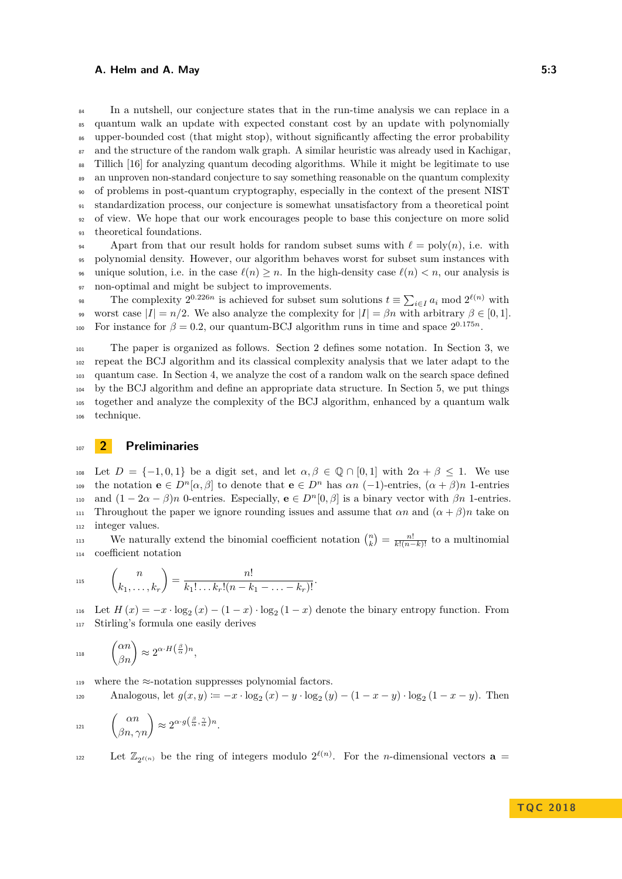<sup>84</sup> In a nutshell, our conjecture states that in the run-time analysis we can replace in a quantum walk an update with expected constant cost by an update with polynomially upper-bounded cost (that might stop), without significantly affecting the error probability and the structure of the random walk graph. A similar heuristic was already used in Kachigar, Tillich [\[16\]](#page-15-6) for analyzing quantum decoding algorithms. While it might be legitimate to use an unproven non-standard conjecture to say something reasonable on the quantum complexity of problems in post-quantum cryptography, especially in the context of the present NIST standardization process, our conjecture is somewhat unsatisfactory from a theoretical point of view. We hope that our work encourages people to base this conjecture on more solid theoretical foundations.

94 Apart from that our result holds for random subset sums with  $\ell = \text{poly}(n)$ , i.e. with <sup>95</sup> polynomial density. However, our algorithm behaves worst for subset sum instances with 96 unique solution, i.e. in the case  $\ell(n) \geq n$ . In the high-density case  $\ell(n) < n$ , our analysis is 97 non-optimal and might be subject to improvements.

The complexity  $2^{0.226n}$  is achieved for subset sum solutions  $t \equiv \sum_{i \in I} a_i \mod 2^{\ell(n)}$  with 99 worst case  $|I| = n/2$ . We also analyze the complexity for  $|I| = \beta n$  with arbitrary  $\beta \in [0, 1]$ . For instance for  $\beta = 0.2$ , our quantum-BCJ algorithm runs in time and space  $2^{0.175n}$ .

 The paper is organized as follows. Section [2](#page-2-0) defines some notation. In Section [3,](#page-3-0) we repeat the BCJ algorithm and its classical complexity analysis that we later adapt to the quantum case. In Section [4,](#page-7-0) we analyze the cost of a random walk on the search space defined by the BCJ algorithm and define an appropriate data structure. In Section [5,](#page-11-0) we put things together and analyze the complexity of the BCJ algorithm, enhanced by a quantum walk technique.

### <span id="page-2-0"></span><sup>107</sup> **2 Preliminaries**

108 Let  $D = \{-1, 0, 1\}$  be a digit set, and let  $\alpha, \beta \in \mathbb{Q} \cap [0, 1]$  with  $2\alpha + \beta \leq 1$ . We use the notation  $\mathbf{e} \in D^n[\alpha, \beta]$  to denote that  $\mathbf{e} \in D^n$  has  $\alpha n$  (-1)-entries,  $(\alpha + \beta)n$  1-entries and  $(1 - 2\alpha - \beta)n$  0-entries. Especially,  $\mathbf{e} \in D^n[0, \beta]$  is a binary vector with  $\beta n$  1-entries. 111 Throughout the paper we ignore rounding issues and assume that  $\alpha n$  and  $(\alpha + \beta)n$  take on <sup>112</sup> integer values.

We naturally extend the binomial coefficient notation  $\binom{n}{k} = \frac{n!}{k!(n-k)!}$  to a multinomial <sup>114</sup> coefficient notation

$$
115 \qquad {n \choose k_1,\ldots,k_r} = \frac{n!}{k_1!\ldots k_r!(n-k_1-\ldots-k_r)!}.
$$

116 Let  $H(x) = -x \cdot \log_2(x) - (1-x) \cdot \log_2(1-x)$  denote the binary entropy function. From <sup>117</sup> Stirling's formula one easily derives

$$
^{\text{118}} \qquad \binom{\alpha n}{\beta n} \approx 2^{\alpha \cdot H \left(\frac{\beta}{\alpha}\right) n},
$$

119 where the  $\approx$ -notation suppresses polynomial factors.

Analogous, let  $g(x, y) := -x \cdot \log_2(x) - y \cdot \log_2(y) - (1 - x - y) \cdot \log_2(1 - x - y)$ . Then

$$
_{^{121}}\qquad \begin{pmatrix} \alpha n \\ \beta n,\gamma n \end{pmatrix}\approx 2^{\alpha\cdot g\left(\frac{\beta}{\alpha},\frac{\gamma}{\alpha}\right)n}.
$$

Let  $\mathbb{Z}_{2^{\ell(n)}}$  be the ring of integers modulo  $2^{\ell(n)}$ . For the *n*-dimensional vectors **a** =

**TQ C 2 0 1 8**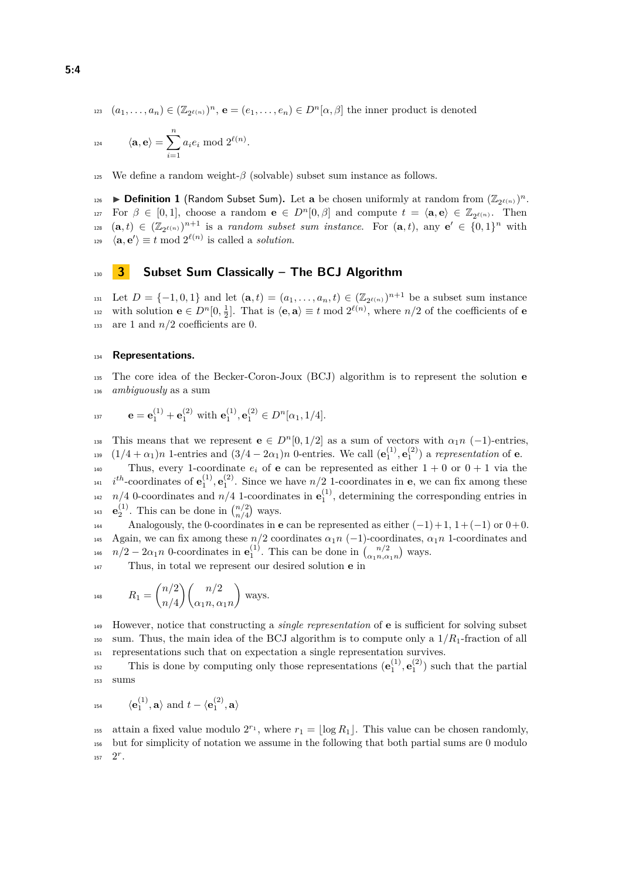$(a_1, \ldots, a_n) \in (\mathbb{Z}_{2^{\ell(n)}})^n$ ,  $\mathbf{e} = (e_1, \ldots, e_n) \in D^n[\alpha, \beta]$  the inner product is denoted

$$
\langle \mathbf{a},\mathbf{e}\rangle=\sum_{i=1}^n a_i e_i \bmod 2^{\ell(n)}.
$$

125 We define a random weight- $\beta$  (solvable) subset sum instance as follows.

<span id="page-3-1"></span>**Definition 1** (Random Subset Sum). Let **a** be chosen uniformly at random from  $(\mathbb{Z}_{2^{\ell(n)}})^n$ . For  $\beta \in [0,1]$ , choose a random  $\mathbf{e} \in D^n[0,\beta]$  and compute  $t = \langle \mathbf{a}, \mathbf{e} \rangle \in \mathbb{Z}_{2^{\ell(n)}}$ . Then  $\{a, t\} \in (\mathbb{Z}_{2^{\ell(n)}})^{n+1}$  is a *random subset sum instance*. For  $(\mathbf{a}, t)$ , any  $\mathbf{e}' \in \{0, 1\}^n$  with  $\langle \mathbf{a}, \mathbf{e}' \rangle \equiv t \mod 2^{\ell(n)}$  is called a *solution*.

#### <span id="page-3-0"></span><sup>130</sup> **3 Subset Sum Classically – The BCJ Algorithm**

131 Let  $D = \{-1, 0, 1\}$  and let  $(\mathbf{a}, t) = (a_1, \dots, a_n, t) \in (\mathbb{Z}_{2^{\ell(n)}})^{n+1}$  be a subset sum instance with solution  $\mathbf{e} \in D^n[0, \frac{1}{2}]$ . That is  $\langle \mathbf{e}, \mathbf{a} \rangle \equiv t \mod 2^{\ell(n)}$ , where  $n/2$  of the coefficients of  $\mathbf{e}$ 133 are 1 and  $n/2$  coefficients are 0.

#### <sup>134</sup> **Representations.**

<sup>135</sup> The core idea of the Becker-Coron-Joux (BCJ) algorithm is to represent the solution **e** <sup>136</sup> *ambiguously* as a sum

$$
\mathbf{e} = \mathbf{e}_1^{(1)} + \mathbf{e}_1^{(2)} \text{ with } \mathbf{e}_1^{(1)}, \mathbf{e}_1^{(2)} \in D^n[\alpha_1, 1/4].
$$

This means that we represent **e**  $\in D^n[0,1/2]$  as a sum of vectors with  $\alpha_1 n$  (-1)-entries,  $(1/4 + \alpha_1)n$  1-entries and  $(3/4 - 2\alpha_1)n$  0-entries. We call  $(\mathbf{e}_1^{(1)}, \mathbf{e}_1^{(2)})$  a *representation* of **e**.

140 Thus, every 1-coordinate  $e_i$  of **e** can be represented as either  $1 + 0$  or  $0 + 1$  via the  $i^{th}$ -coordinates of  $e_1^{(1)}$ ,  $e_1^{(2)}$ . Since we have  $n/2$  1-coordinates in **e**, we can fix among these  $n/4$  0-coordinates and  $n/4$  1-coordinates in  $\mathbf{e}_1^{(1)}$ , determining the corresponding entries in <sup>143</sup> **e**<sup>(1)</sup></sup>. This can be done in  $\binom{n/2}{n/4}$  ways.

Analogously, the 0-coordinates in **e** can be represented as either  $(-1)+1$ ,  $1+(-1)$  or  $0+0$ . 145 Again, we can fix among these  $n/2$  coordinates  $\alpha_1 n$  (-1)-coordinates,  $\alpha_1 n$  1-coordinates and <sup>146</sup>  $n/2 - 2\alpha_1 n$  0-coordinates in  $\mathbf{e}_1^{(1)}$ . This can be done in  $\binom{n/2}{\alpha_1 n, \alpha_1 n}$  ways.

<sup>147</sup> Thus, in total we represent our desired solution **e** in

$$
R_1 = {n/2 \choose n/4} {n/2 \choose \alpha_1 n, \alpha_1 n} \text{ ways.}
$$

<sup>149</sup> However, notice that constructing a *single representation* of **e** is sufficient for solving subset <sup>150</sup> sum. Thus, the main idea of the BCJ algorithm is to compute only a  $1/R_1$ -fraction of all <sup>151</sup> representations such that on expectation a single representation survives.

This is done by computing only those representations  $(e_1^{(1)}, e_1^{(2)})$  such that the partial <sup>153</sup> sums

$$
_{^{154}\qquad } \langle \mathbf{e}_{1}^{(1)},\mathbf{a}\rangle \text{ and }t-\langle \mathbf{e}_{1}^{(2)},\mathbf{a}\rangle
$$

<sup>155</sup> attain a fixed value modulo  $2^{r_1}$ , where  $r_1 = \lfloor \log R_1 \rfloor$ . This value can be chosen randomly, <sup>156</sup> but for simplicity of notation we assume in the following that both partial sums are 0 modulo  $157 \quad 2^r$ .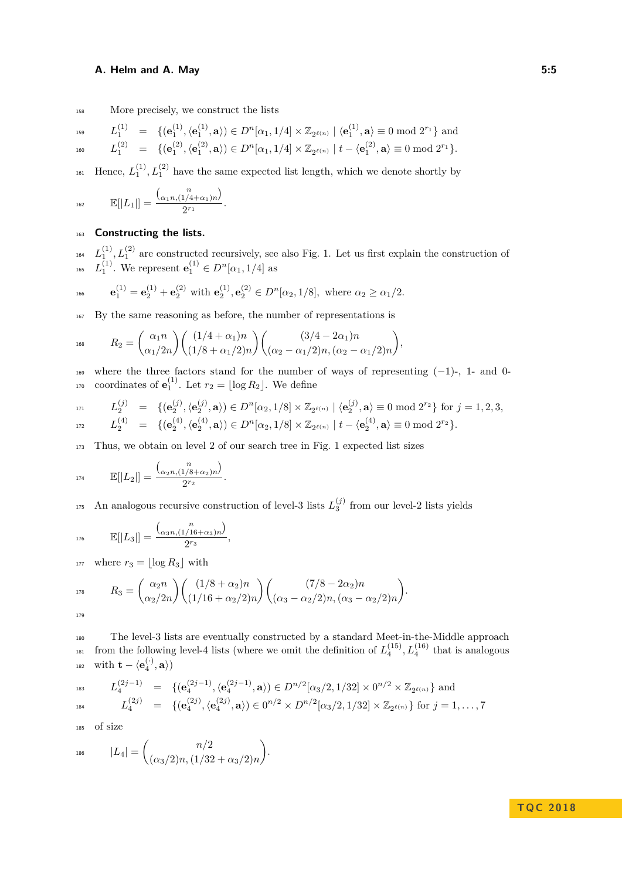158 More precisely, we construct the lists

$$
L_1^{\{1\}} \quad = \quad \{(\mathbf{e}_1^{(1)}, \langle \mathbf{e}_1^{(1)}, \mathbf{a}\rangle) \in D^n[\alpha_1, 1/4] \times \mathbb{Z}_{2^{\ell(n)}} \mid \langle \mathbf{e}_1^{(1)}, \mathbf{a}\rangle \equiv 0 \bmod 2^{r_1}\} \text{ and }
$$

$$
L_1^{(2)} \quad = \quad \{(\mathbf{e}^{(2)}_1, \langle \mathbf{e}^{(2)}_1, \mathbf{a}\rangle) \in D^n[\alpha_1, 1/4] \times \mathbb{Z}_{2^{\ell(n)}} \mid t - \langle \mathbf{e}^{(2)}_1, \mathbf{a}\rangle \equiv 0 \bmod 2^{r_1}\}.
$$

<sup>161</sup> Hence,  $L_1^{(1)}$ ,  $L_1^{(2)}$  have the same expected list length, which we denote shortly by

$$
E[|L_1|] = \frac{\binom{n}{\alpha_1 n, (1/4 + \alpha_1)n}}{2^{r_1}}.
$$

#### <sup>163</sup> **Constructing the lists.**

<sup>164</sup>  $L_1^{(1)}$ ,  $L_1^{(2)}$  are constructed recursively, see also Fig. [1.](#page-5-0) Let us first explain the construction of 165  $L_1^{(1)}$ . We represent  $e_1^{(1)} \in D^n[\alpha_1, 1/4]$  as

$$
\mathbf{e}_1^{(1)} = \mathbf{e}_2^{(1)} + \mathbf{e}_2^{(2)} \text{ with } \mathbf{e}_2^{(1)}, \mathbf{e}_2^{(2)} \in D^n[\alpha_2, 1/8], \text{ where } \alpha_2 \ge \alpha_1/2.
$$

<sup>167</sup> By the same reasoning as before, the number of representations is

$$
R_2 = {\alpha_1 n \choose \alpha_1/2n} {\binom{(1/4 + \alpha_1)n}{(1/8 + \alpha_1/2)n}} {\binom{(3/4 - 2\alpha_1)n}{(\alpha_2 - \alpha_1/2)n, (\alpha_2 - \alpha_1/2)n}},
$$

 $169$  where the three factors stand for the number of ways of representing  $(-1)$ -, 1- and 0-<sup>170</sup> coordinates of  $\mathbf{e}_1^{(1)}$ . Let  $r_2 = \lfloor \log R_2 \rfloor$ . We define

$$
\begin{array}{lll} \text{\tiny{171}} & L^{(j)}_2 & = & \{(\mathbf{e}^{(j)}_2, \langle \mathbf{e}^{(j)}_2, \mathbf{a} \rangle) \in D^n[\alpha_2, 1/8] \times \mathbb{Z}_{2^{\ell(n)}} \mid \langle \mathbf{e}^{(j)}_2, \mathbf{a} \rangle \equiv 0 \bmod 2^{r_2}\} \text{ for } j = 1, 2, 3, \\ & L^{(4)}_2 & = & \{(\mathbf{e}^{(4)}_2, \langle \mathbf{e}^{(4)}_2, \mathbf{a} \rangle) \in D^n[\alpha_2, 1/8] \times \mathbb{Z}_{2^{\ell(n)}} \mid t - \langle \mathbf{e}^{(4)}_2, \mathbf{a} \rangle \equiv 0 \bmod 2^{r_2}\}. \end{array}
$$

<sup>173</sup> Thus, we obtain on level 2 of our search tree in Fig. [1](#page-5-0) expected list sizes

$$
E[|L_2|] = \frac{\binom{n}{\alpha_2 n, (1/8 + \alpha_2)n}}{2^{r_2}}.
$$

<sup>175</sup> An analogous recursive construction of level-3 lists  $L_3^{(j)}$  from our level-2 lists yields

$$
176 \qquad \mathbb{E}[|L_3|] = \frac{\binom{n}{\alpha_3 n, (1/16 + \alpha_3)n}}{2^{r_3}},
$$

<sup>177</sup> where  $r_3 = \lfloor \log R_3 \rfloor$  with

$$
R_3 = \binom{\alpha_2 n}{\alpha_2/2n} \binom{(1/8 + \alpha_2)n}{(1/16 + \alpha_2/2)n} \binom{(7/8 - 2\alpha_2)n}{(\alpha_3 - \alpha_2/2)n, (\alpha_3 - \alpha_2/2)n}.
$$

| × | ï<br>×<br>۰. |
|---|--------------|
|   |              |

<sup>180</sup> The level-3 lists are eventually constructed by a standard Meet-in-the-Middle approach <sup>181</sup> from the following level-4 lists (where we omit the definition of  $L_4^{(15)}$ ,  $L_4^{(16)}$  that is analogous  $\text{with } \mathbf{t} - \langle \mathbf{e}_4^{(\cdot)}, \mathbf{a} \rangle$ 

$$
L_4^{(2j-1)} = \{ (\mathbf{e}_4^{(2j-1)}, \langle \mathbf{e}_4^{(2j-1)}, \mathbf{a} \rangle) \in D^{n/2}[\alpha_3/2, 1/32] \times 0^{n/2} \times \mathbb{Z}_{2^{\ell(n)}} \} \text{ and } L_4^{(2j)} = \{ (\mathbf{e}_4^{(2j)}, \langle \mathbf{e}_4^{(2j)}, \mathbf{a} \rangle) \in 0^{n/2} \times D^{n/2}[\alpha_3/2, 1/32] \times \mathbb{Z}_{2^{\ell(n)}} \} \text{ for } j = 1, ..., 7
$$

<sup>185</sup> of size

$$
A_{186} \qquad |L_4| = \binom{n/2}{(\alpha_3/2)n, (1/32 + \alpha_3/2)n}.
$$

#### **TQ C 2 0 1 8**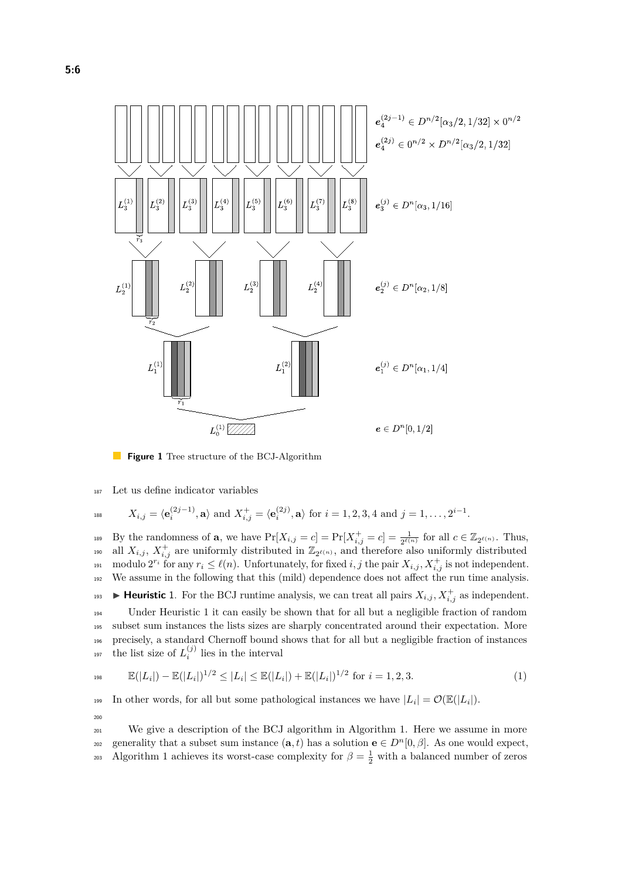<span id="page-5-0"></span>

 $\mathbb{R}^n$ **Figure 1** Tree structure of the BCJ-Algorithm

<sup>187</sup> Let us define indicator variables

$$
X_{i,j} = \langle \mathbf{e}_i^{(2j-1)}, \mathbf{a} \rangle \text{ and } X_{i,j}^+ = \langle \mathbf{e}_i^{(2j)}, \mathbf{a} \rangle \text{ for } i = 1, 2, 3, 4 \text{ and } j = 1, \dots, 2^{i-1}.
$$

By the randomness of **a**, we have  $Pr[X_{i,j} = c] = Pr[X_{i,j}^+ = c] = \frac{1}{2^{\ell(n)}}$  for all  $c \in \mathbb{Z}_{2^{\ell(n)}}$ . Thus, <sup>190</sup> all  $X_{i,j}$ ,  $X_{i,j}^+$  are uniformly distributed in  $\mathbb{Z}_{2^{\ell(n)}}$ , and therefore also uniformly distributed <sup>191</sup> modulo  $2^{r_i}$  for any  $r_i \leq \ell(n)$ . Unfortunately, for fixed *i, j* the pair  $X_{i,j}$ ,  $X_{i,j}^+$  is not independent. <sup>192</sup> We assume in the following that this (mild) dependence does not affect the run time analysis. **Heuristic** 1. For the BCJ runtime analysis, we can treat all pairs  $X_{i,j}$ ,  $X_{i,j}^+$  as independent.

<span id="page-5-1"></span> Under Heuristic [1](#page-5-1) it can easily be shown that for all but a negligible fraction of random subset sum instances the lists sizes are sharply concentrated around their expectation. More precisely, a standard Chernoff bound shows that for all but a negligible fraction of instances the list size of  $L_i^{(j)}$  lies in the interval

<span id="page-5-2"></span>
$$
\mathbb{E}(|L_i|) - \mathbb{E}(|L_i|)^{1/2} \le |L_i| \le \mathbb{E}(|L_i|) + \mathbb{E}(|L_i|)^{1/2} \text{ for } i = 1, 2, 3. \tag{1}
$$

In other words, for all but some pathological instances we have  $|L_i| = \mathcal{O}(\mathbb{E}(|L_i|)).$ 200

<sup>201</sup> We give a description of the BCJ algorithm in Algorithm [1.](#page-6-0) Here we assume in more generality that a subset sum instance  $(\mathbf{a}, t)$  has a solution  $\mathbf{e} \in D^n[0, \beta]$ . As one would expect, 203 Algorithm [1](#page-6-0) achieves its worst-case complexity for  $\beta = \frac{1}{2}$  with a balanced number of zeros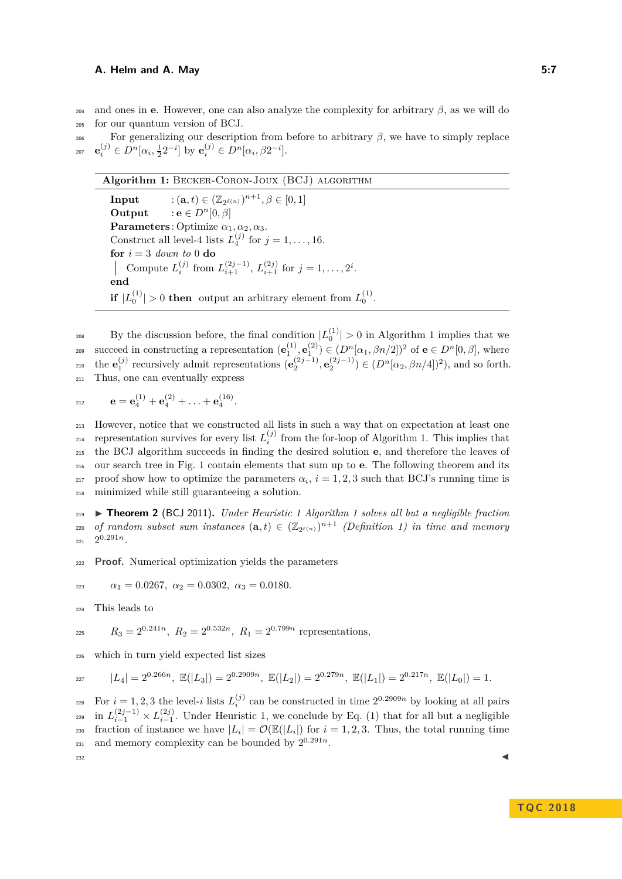<sup>204</sup> and ones in **e**. However, one can also analyze the complexity for arbitrary *β*, as we will do <sup>205</sup> for our quantum version of BCJ.

<sup>206</sup> For generalizing our description from before to arbitrary *β*, we have to simply replace  $e_i^{(j)} \in D^n[\alpha_i, \frac{1}{2}2^{-i}]$  by  $e_i^{(j)} \in D^n[\alpha_i, \beta 2^{-i}]$ .

<span id="page-6-0"></span>**Algorithm 1:** Becker-Coron-Joux (BCJ) algorithm **Input**  $: (\mathbf{a}, t) \in (\mathbb{Z}_{2^{\ell(n)}})^{n+1}, \beta \in [0, 1]$ **Output** : **e**  $\in$   $D^n[0, \beta]$ **Parameters**: Optimize  $\alpha_1, \alpha_2, \alpha_3$ . Construct all level-4 lists  $L_4^{(j)}$  for  $j = 1, \ldots, 16$ .  $\mathbf{for}~i=3$   $\emph{down}~to~0$ <br/> $\mathbf{do}$ Compute  $L_i^{(j)}$  from  $L_{i+1}^{(2j-1)}$ ,  $L_{i+1}^{(2j)}$  for  $j = 1, ..., 2^i$ . **end if**  $|L_0^{(1)}| > 0$  **then** output an arbitrary element from  $L_0^{(1)}$ .

<sup>208</sup> By the discussion before, the final condition  $|L_0^{(1)}| > 0$  in Algorithm [1](#page-6-0) implies that we succeed in constructing a representation  $(\mathbf{e}_1^{(1)}, \mathbf{e}_1^{(2)}) \in (D^n[\alpha_1, \beta n/2])^2$  of  $\mathbf{e} \in D^n[0, \beta]$ , where the  $\mathbf{e}_1^{(j)}$  recursively admit representations  $(\mathbf{e}_2^{(2j-1)}, \mathbf{e}_2^{(2j-1)}) \in (D^n[\alpha_2, \beta n/4])^2$ , and so forth. <sup>211</sup> Thus, one can eventually express

$$
e = \mathbf{e}_4^{(1)} + \mathbf{e}_4^{(2)} + \ldots + \mathbf{e}_4^{(16)}.
$$

 However, notice that we constructed all lists in such a way that on expectation at least one <sup>214</sup> representation survives for every list  $L_i^{(j)}$  from the for-loop of Algorithm [1.](#page-6-0) This implies that the BCJ algorithm succeeds in finding the desired solution **e**, and therefore the leaves of our search tree in Fig. [1](#page-5-0) contain elements that sum up to **e**. The following theorem and its proof show how to optimize the parameters  $\alpha_i$ ,  $i = 1, 2, 3$  such that BCJ's running time is minimized while still guaranteeing a solution.

<span id="page-6-1"></span><sup>219</sup> I **Theorem 2** (BCJ 2011)**.** *Under Heuristic [1](#page-5-1) Algorithm [1](#page-6-0) solves all but a negligible fraction*  $\alpha$ <sup>220</sup> *of random subset sum instances*  $(\mathbf{a}, t) \in (\mathbb{Z}_{2^{\ell(n)}})^{n+1}$  (Definition [1\)](#page-3-1) in time and memory  $2^{0.291n}$ .

<sup>222</sup> **Proof.** Numerical optimization yields the parameters

 $\alpha_1 = 0.0267, \ \alpha_2 = 0.0302, \ \alpha_3 = 0.0180.$ 

<sup>224</sup> This leads to

$$
R_3 = 2^{0.241n}, R_2 = 2^{0.532n}, R_1 = 2^{0.799n}
$$
 representations,

<sup>226</sup> which in turn yield expected list sizes

$$
|L_4| = 2^{0.266n}, \ \mathbb{E}(|L_3|) = 2^{0.2909n}, \ \mathbb{E}(|L_2|) = 2^{0.279n}, \ \mathbb{E}(|L_1|) = 2^{0.217n}, \ \mathbb{E}(|L_0|) = 1.
$$

For  $i = 1, 2, 3$  the level-*i* lists  $L_i^{(j)}$  can be constructed in time  $2^{0.2909n}$  by looking at all pairs <sup>229</sup> in  $L_{i-1}^{(2j-1)} \times L_{i-1}^{(2j)}$ . Under Heuristic [1,](#page-5-1) we conclude by Eq. [\(1\)](#page-5-2) that for all but a negligible fraction of instance we have  $|L_i| = \mathcal{O}(\mathbb{E}(|L_i|))$  for  $i = 1, 2, 3$ . Thus, the total running time and memory complexity can be bounded by  $2^{0.291n}$ .  $232$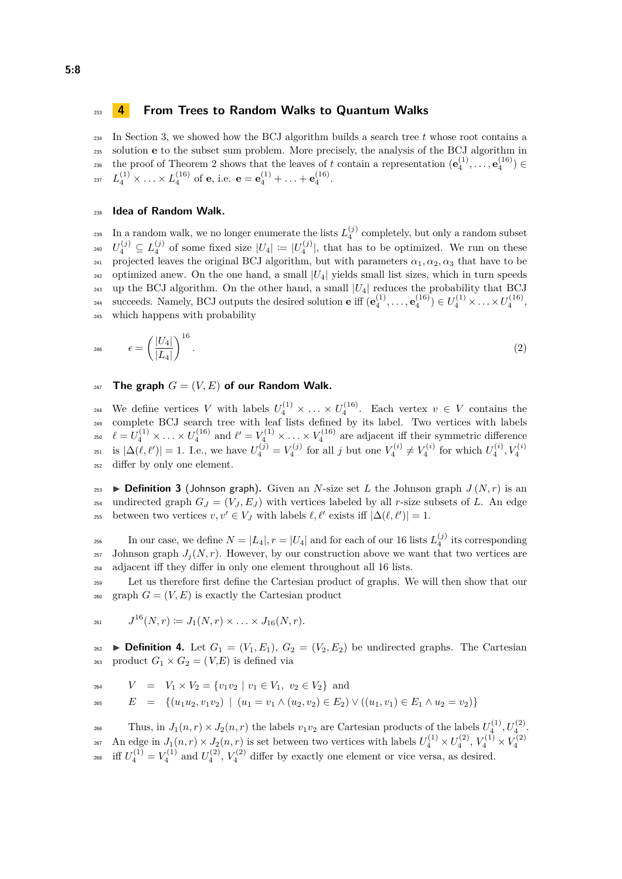#### <span id="page-7-0"></span><sup>233</sup> **4 From Trees to Random Walks to Quantum Walks**

<sup>234</sup> In Section [3,](#page-3-0) we showed how the BCJ algorithm builds a search tree *t* whose root contains a <sup>235</sup> solution **e** to the subset sum problem. More precisely, the analysis of the BCJ algorithm in the proof of Theorem [2](#page-6-1) shows that the leaves of *t* contain a representation  $(e_4^{(1)}, \ldots, e_4^{(16)}) \in$  $L_4^{(1)} \times \ldots \times L_4^{(16)}$  of **e**, i.e.  $\mathbf{e} = \mathbf{e}_4^{(1)} + \ldots + \mathbf{e}_4^{(16)}$ .

#### <sup>238</sup> **Idea of Random Walk.**

 $\sum_{i=1}^{239}$  In a random walk, we no longer enumerate the lists  $L_4^{(j)}$  completely, but only a random subset  $U_4^{(j)} \subseteq L_4^{(j)}$  of some fixed size  $|U_4| := |U_4^{(j)}|$ , that has to be optimized. We run on these 241 projected leaves the original BCJ algorithm, but with parameters  $\alpha_1, \alpha_2, \alpha_3$  that have to be <sub>242</sub> optimized anew. On the one hand, a small  $|U_4|$  yields small list sizes, which in turn speeds <sup>243</sup> up the BCJ algorithm. On the other hand, a small  $|U_4|$  reduces the probability that BCJ succeeds. Namely, BCJ outputs the desired solution **e** iff  $(\mathbf{e}_4^{(1)}, \ldots, \mathbf{e}_4^{(16)}) \in U_4^{(1)} \times \ldots \times U_4^{(16)}$ , <sup>245</sup> which happens with probability

<span id="page-7-1"></span>
$$
\epsilon = \left(\frac{|U_4|}{|L_4|}\right)^{16}.\tag{2}
$$

#### <sup>247</sup> The graph  $G = (V, E)$  of our Random Walk.

<sup>248</sup> We define vertices *V* with labels  $U_4^{(1)} \times \ldots \times U_4^{(16)}$ . Each vertex  $v \in V$  contains the <sup>249</sup> complete BCJ search tree with leaf lists defined by its label. Two vertices with labels  $\ell = U_4^{(1)} \times \ldots \times U_4^{(16)}$  and  $\ell' = V_4^{(1)} \times \ldots \times V_4^{(16)}$  are adjacent iff their symmetric difference is  $|\Delta(\ell, \ell')| = 1$ . I.e., we have  $U_4^{(j)} = V_4^{(j)}$  for all *j* but one  $V_4^{(i)} \neq V_4^{(i)}$  for which  $U_4^{(i)}$ ,  $V_4^{(i)}$ 251 <sup>252</sup> differ by only one element.

253 **Definition 3** (Johnson graph). Given an *N*-size set *L* the Johnson graph  $J(N,r)$  is an <sup>254</sup> undirected graph  $G_J = (V_J, E_J)$  with vertices labeled by all *r*-size subsets of *L*. An edge between two vertices  $v, v' \in V_J$  with labels  $\ell, \ell'$  exists iff  $|\Delta(\ell, \ell')| = 1$ .

In our case, we define  $N = |L_4|, r = |U_4|$  and for each of our 16 lists  $L_4^{(j)}$  its corresponding 257 Johnson graph  $J_i(N, r)$ . However, by our construction above we want that two vertices are <sup>258</sup> adjacent iff they differ in only one element throughout all 16 lists.

<sup>259</sup> Let us therefore first define the Cartesian product of graphs. We will then show that our <sup>260</sup> graph  $G = (V, E)$  is exactly the Cartesian product

$$
J^{16}(N,r) \coloneqq J_1(N,r) \times \ldots \times J_{16}(N,r).
$$

**262 Definition 4.** Let  $G_1 = (V_1, E_1), G_2 = (V_2, E_2)$  be undirected graphs. The Cartesian <sup>263</sup> product  $G_1 \times G_2 = (V, E)$  is defined via

$$
V = V_1 \times V_2 = \{v_1v_2 \mid v_1 \in V_1, v_2 \in V_2\} \text{ and}
$$
  
\n
$$
E = \{(u_1u_2, v_1v_2) \mid (u_1 = v_1 \land (u_2, v_2) \in E_2) \lor ((u_1, v_1) \in E_1 \land u_2 = v_2)\}
$$

Thus, in  $J_1(n,r) \times J_2(n,r)$  the labels  $v_1v_2$  are Cartesian products of the labels  $U_4^{(1)}$ ,  $U_4^{(2)}$ . An edge in  $J_1(n,r) \times J_2(n,r)$  is set between two vertices with labels  $U_4^{(1)} \times U_4^{(2)}$ ,  $V_4^{(1)} \times V_4^{(2)}$ 267 <sup>268</sup> iff  $U_4^{(1)} = V_4^{(1)}$  and  $U_4^{(2)}$ ,  $V_4^{(2)}$  differ by exactly one element or vice versa, as desired.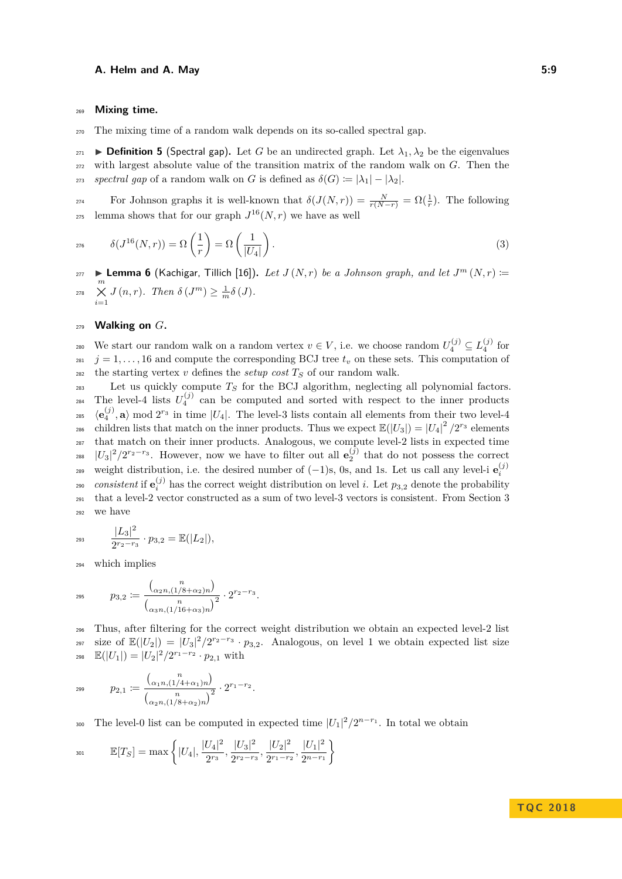#### <sup>269</sup> **Mixing time.**

<sup>270</sup> The mixing time of a random walk depends on its so-called spectral gap.

**Definition 5** (Spectral gap). Let *G* be an undirected graph. Let  $\lambda_1, \lambda_2$  be the eigenvalues <sup>272</sup> with largest absolute value of the transition matrix of the random walk on *G*. Then the *zrs spectral gap* of a random walk on *G* is defined as  $\delta(G) := |\lambda_1| - |\lambda_2|$ .

For Johnson graphs it is well-known that  $\delta(J(N,r)) = \frac{N}{r(N-r)} = \Omega(\frac{1}{r})$ . The following <sup>275</sup> lemma shows that for our graph  $J^{16}(N,r)$  we have as well

<span id="page-8-0"></span>
$$
276 \qquad \delta(J^{16}(N,r)) = \Omega\left(\frac{1}{r}\right) = \Omega\left(\frac{1}{|U_4|}\right). \tag{3}
$$

 $I_{277}$   $\blacktriangleright$  **Lemma 6** (Kachigar, Tillich [\[16\]](#page-15-6)). Let  $J(N,r)$  be a Johnson graph, and let  $J^m(N,r)$  := *m* × *i*=1  $Z_{278}$   $\times$  *J*  $(n,r)$ *. Then*  $\delta$   $(J^m) \geq \frac{1}{m}\delta$   $(J)$ *.* 

#### <sup>279</sup> **Walking on** *G***.**

280 We start our random walk on a random vertex  $v \in V$ , i.e. we choose random  $U_4^{(j)} \subseteq L_4^{(j)}$  for  $j = 1, \ldots, 16$  and compute the corresponding BCJ tree  $t_v$  on these sets. This computation of 282 the starting vertex *v* defines the *setup cost*  $T<sub>S</sub>$  of our random walk.

<sup>283</sup> Let us quickly compute *T<sup>S</sup>* for the BCJ algorithm, neglecting all polynomial factors. <sup>284</sup> The level-4 lists  $U_4^{(j)}$  can be computed and sorted with respect to the inner products <sup>285</sup>  $\langle \mathbf{e}_4^{(j)}, \mathbf{a} \rangle \bmod 2^{r_3}$  in time  $|U_4|$ . The level-3 lists contain all elements from their two level-4 children lists that match on the inner products. Thus we expect  $\mathbb{E}(|U_3|) = |U_4|^2 / 2^{r_3}$  elements <sup>287</sup> that match on their inner products. Analogous, we compute level-2 lists in expected time <sup>288</sup>  $|U_3|^2/2^{r_2-r_3}$ . However, now we have to filter out all  $e_2^{(j)}$  that do not possess the correct weight distribution, i.e. the desired number of  $(-1)$ s, 0s, and 1s. Let us call any level-i  $e_i^{(j)}$ 289 <sup>290</sup> consistent if  $e_i^{(j)}$  has the correct weight distribution on level *i*. Let  $p_{3,2}$  denote the probability <sup>291</sup> that a level-2 vector constructed as a sum of two level-3 vectors is consistent. From Section [3](#page-3-0) <sup>292</sup> we have

$$
e^{293} \qquad \frac{|L_3|^2}{2^{r_2-r_3}} \cdot p_{3,2} = \mathbb{E}(|L_2|),
$$

<sup>294</sup> which implies

$$
p_{3,2} := \frac{\binom{n}{\alpha_2 n, (1/8 + \alpha_2)n}}{\binom{n}{\alpha_3 n, (1/16 + \alpha_3)n}^2} \cdot 2^{r_2 - r_3}.
$$

Thus, after filtering for the correct weight distribution we obtain an expected level-2 list size of  $\mathbb{E}(|U_2|) = |U_3|^2/2^{r_2-r_3} \cdot p_{3,2}$ . Analogous, on level 1 we obtain expected list size 298  $\mathbb{E}(|U_1|) = |U_2|^2 / 2^{r_1 - r_2} \cdot p_{2,1}$  with

$$
p_{2,1} := \frac{\binom{n}{\alpha_1 n, (1/4 + \alpha_1)n}}{\binom{n}{\alpha_2 n, (1/8 + \alpha_2)n}^2} \cdot 2^{r_1 - r_2}.
$$

300 The level-0 list can be computed in expected time  $|U_1|^2/2^{n-r_1}$ . In total we obtain

$$
\mathbb{E}[T_S] = \max\left\{|U_4|, \frac{|U_4|^2}{2^{r_3}}, \frac{|U_3|^2}{2^{r_2-r_3}}, \frac{|U_2|^2}{2^{r_1-r_2}}, \frac{|U_1|^2}{2^{n-r_1}}\right\}
$$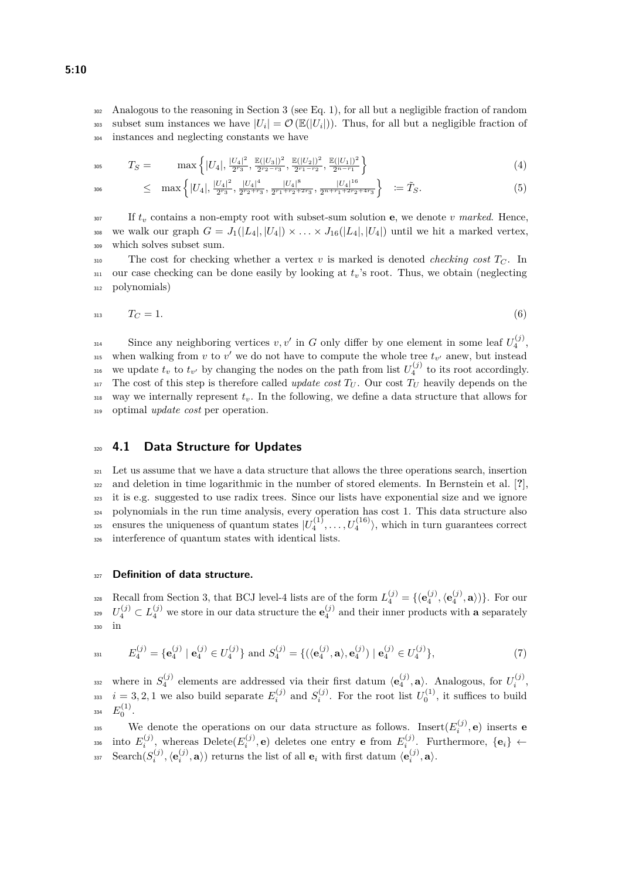<sup>302</sup> Analogous to the reasoning in Section [3](#page-3-0) (see Eq. [1\)](#page-5-2), for all but a negligible fraction of random so subset sum instances we have  $|U_i| = \mathcal{O}(\mathbb{E}(|U_i|))$ . Thus, for all but a negligible fraction of <sup>304</sup> instances and neglecting constants we have

<span id="page-9-0"></span>
$$
T_S = \max\left\{|U_4|, \frac{|U_4|^2}{2^{r_3}}, \frac{\mathbb{E}(|U_3|)^2}{2^{r_2 - r_3}}, \frac{\mathbb{E}(|U_2|)^2}{2^{r_1 - r_2}}, \frac{\mathbb{E}(|U_1|)^2}{2^{n - r_1}}\right\}
$$
(4)

$$
\leq \max \left\{ |U_4|, \frac{|U_4|^2}{2^{r_3}}, \frac{|U_4|^4}{2^{r_2+r_3}}, \frac{|U_4|^8}{2^{r_1+r_2+2r_3}}, \frac{|U_4|^{16}}{2^{r_1+r_1+2r_2+4r_3}} \right\} \ \coloneqq \tilde{T}_S. \tag{5}
$$

<sup>307</sup> If *t<sup>v</sup>* contains a non-empty root with subset-sum solution **e**, we denote *v marked*. Hence, <sup>308</sup> we walk our graph  $G = J_1(|L_4|, |U_4|) \times \ldots \times J_{16}(|L_4|, |U_4|)$  until we hit a marked vertex, <sup>309</sup> which solves subset sum.

<span id="page-9-2"></span>310 The cost for checking whether a vertex *v* is marked is denoted *checking cost*  $T_C$ . In <sup>311</sup> our case checking can be done easily by looking at *tv*'s root. Thus, we obtain (neglecting <sup>312</sup> polynomials)

$$
T_C = 1.\t\t(6)
$$

Since any neighboring vertices  $v, v'$  in *G* only differ by one element in some leaf  $U_4^{(j)}$ , <sup>315</sup> when walking from *v* to *v'* we do not have to compute the whole tree  $t_{v'}$  anew, but instead <sup>316</sup> we update  $t_v$  to  $t_{v'}$  by changing the nodes on the path from list  $U_4^{(j)}$  to its root accordingly. 317 The cost of this step is therefore called *update cost*  $T_U$ . Our cost  $T_U$  heavily depends on the  $\frac{318}{100}$  way we internally represent  $t_v$ . In the following, we define a data structure that allows for <sup>319</sup> optimal *update cost* per operation.

#### <sup>320</sup> **4.1 Data Structure for Updates**

 Let us assume that we have a data structure that allows the three operations search, insertion and deletion in time logarithmic in the number of stored elements. In Bernstein et al. [**?**], it is e.g. suggested to use radix trees. Since our lists have exponential size and we ignore polynomials in the run time analysis, every operation has cost 1. This data structure also <sup>325</sup> ensures the uniqueness of quantum states  $|U_4^{(1)},...,U_4^{(16)}\rangle$ , which in turn guarantees correct interference of quantum states with identical lists.

#### <sup>327</sup> **Definition of data structure.**

<span id="page-9-1"></span>Recall from Section [3,](#page-3-0) that BCJ level-4 lists are of the form  $L_4^{(j)} = \{(\mathbf{e}_4^{(j)}, \langle \mathbf{e}_4^{(j)}, \mathbf{a} \rangle)\}\.$  For our  $U_4^{(j)} \subset L_4^{(j)}$  we store in our data structure the  $e_4^{(j)}$  and their inner products with **a** separately <sup>330</sup> in

$$
E_4^{(j)} = \{ \mathbf{e}_4^{(j)} \mid \mathbf{e}_4^{(j)} \in U_4^{(j)} \} \text{ and } S_4^{(j)} = \{ (\langle \mathbf{e}_4^{(j)}, \mathbf{a} \rangle, \mathbf{e}_4^{(j)}) \mid \mathbf{e}_4^{(j)} \in U_4^{(j)} \},\tag{7}
$$

where in  $S_4^{(j)}$  elements are addressed via their first datum  $\langle \mathbf{e}_4^{(j)}, \mathbf{a} \rangle$ . Analogous, for  $U_i^{(j)}$ ,  $i = 3, 2, 1$  we also build separate  $E_i^{(j)}$  and  $S_i^{(j)}$ . For the root list  $U_0^{(1)}$ , it suffices to build зз4  $E_0^{(1)}$ .

We denote the operations on our data structure as follows. Insert $(E_i^{(j)}, \mathbf{e})$  inserts **e**  $E_i^{(j)}$ , whereas Delete $(E_i^{(j)}, \mathbf{e})$  deletes one entry **e** from  $E_i^{(j)}$ . Furthermore,  $\{\mathbf{e}_i\} \leftarrow$  $\text{Search}(S_i^{(j)}, \langle \mathbf{e}_i^{(j)}, \mathbf{a} \rangle)$  returns the list of all  $\mathbf{e}_i$  with first datum  $\langle \mathbf{e}_i^{(j)}, \mathbf{a} \rangle$ .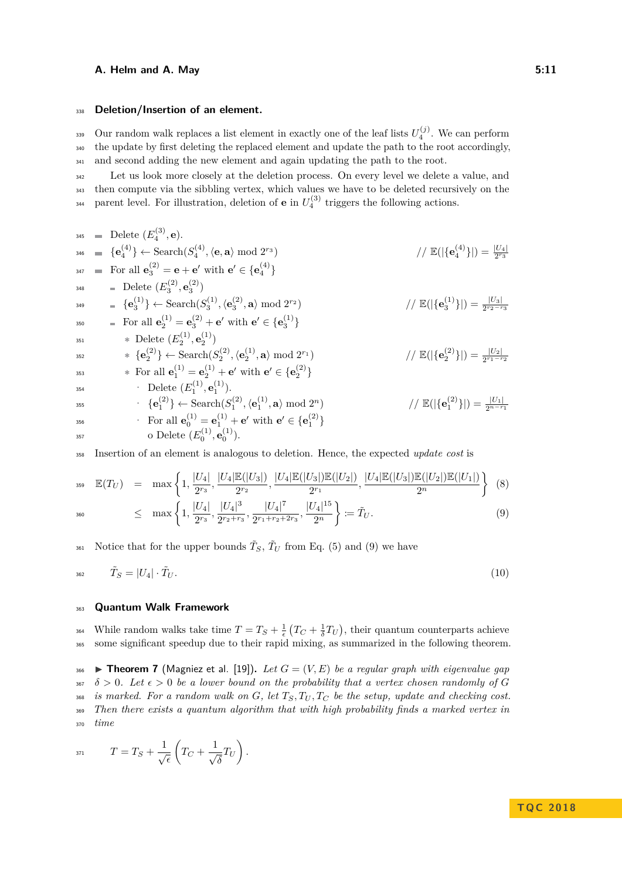### <sup>338</sup> **Deletion/Insertion of an element.**

 $\sum_{i=1}^{339}$  Our random walk replaces a list element in exactly one of the leaf lists  $U_4^{(j)}$ . We can perform <sup>340</sup> the update by first deleting the replaced element and update the path to the root accordingly, <sup>341</sup> and second adding the new element and again updating the path to the root.

<sup>342</sup> Let us look more closely at the deletion process. On every level we delete a value, and <sup>343</sup> then compute via the sibbling vertex, which values we have to be deleted recursively on the <sup>344</sup> parent level. For illustration, deletion of **e** in  $U_4^{(3)}$  triggers the following actions.

345 **Self** Let 
$$
(E_4^{(3)}, \mathbf{e})
$$
.  
\n346 **Self** Let  $(E_4^{(4)}, \mathbf{e})$  and  $(E_4^{(4)}, \mathbf{e})$  and  $(E_4^{(4)}, \mathbf{e})$  and  $(E_4^{(4)})$ .  
\n347 **Self** Let  $(E_4^{(2)}, \mathbf{e}_3^{(2)})$   
\n348 **Self** Let  $(E_4^{(2)}, \mathbf{e}_3^{(2)})$   
\n349 **Self** Let  $(E_4^{(2)}, \mathbf{e}_3^{(2)})$   
\n349 **Self** Let  $(E_4^{(1)}, \mathbf{e}_3^{(2)}, \mathbf{e}_3^{(2)})$   
\n340 **Self** Let  $(E_4^{(1)}, \mathbf{e}_3^{(1)})$   
\n341 **Self** Let  $(E_4^{(1)}, \mathbf{e}_2^{(1)})$   
\n342 **Self** Let  $(E_4^{(1)}, \mathbf{e}_2^{(1)})$   
\n343 **Self** Let  $(E_4^{(1)}, \mathbf{e}_2^{(1)})$   
\n344 **Self** Let  $(E_4^{(1)}, \mathbf{e}_2^{(1)})$   
\n345 **Self** Let  $(E_4^{(1)}, \mathbf{e}_2^{(1)})$   
\n346 **Self**  $(E_4^{(2)}, \mathbf{e}_2^{(1)})$   
\n347 **Self**  $(E_4^{(2)}, \mathbf{e}_3^{(1)})$   
\n348 **Self**  $(E_4^{(2)}, \mathbf{e}_2^{(1)})$   
\n349 **Self**  $(E_4^{(2)}, \mathbf{e}_2^{(1)})$   
\n340 **Self**  $(E_4^{(2)}, \mathbf{e}_2^{(1)})$   
\n341 **Self**  $(E_4^{(2)}, \mathbf{e}_2^{(1)})$   
\n343 **Self**  $(E_4^{(2)}, \mathbf{e}_2^{(1$ 

<sup>358</sup> Insertion of an element is analogous to deletion. Hence, the expected *update cost* is

<span id="page-10-0"></span>
$$
\mathbb{E}(T_U) = \max\left\{1, \frac{|U_4|}{2^{r_3}}, \frac{|U_4|\mathbb{E}(|U_3|)}{2^{r_2}}, \frac{|U_4|\mathbb{E}(|U_3|)\mathbb{E}(|U_2|)}{2^{r_1}}, \frac{|U_4|\mathbb{E}(|U_3|)\mathbb{E}(|U_2|)\mathbb{E}(|U_2|)\mathbb{E}(|U_1|)}{2^n}\right\} \tag{8}
$$
\n
$$
\leq \max\left\{1, \frac{|U_4|}{|U_4|^3}, \frac{|U_4|^7}{|U_4|^{15}}, \frac{|U_4|^{15}}{2^n}\right\} \tag{9}
$$

$$
\leq \max\left\{1, \frac{|U_4|}{2^{r_3}}, \frac{|U_4|^3}{2^{r_2+r_3}}, \frac{|U_4|^7}{2^{r_1+r_2+2r_3}}, \frac{|U_4|^{15}}{2^n}\right\} := \tilde{T}_U. \tag{9}
$$

<span id="page-10-2"></span><sup>361</sup> Notice that for the upper bounds  $\tilde{T}_S$ ,  $\tilde{T}_U$  from Eq. [\(5\)](#page-9-0) and [\(9\)](#page-10-0) we have

$$
\tilde{T}_S = |U_4| \cdot \tilde{T}_U. \tag{10}
$$

#### <sup>363</sup> **Quantum Walk Framework**

<sup>364</sup> While random walks take time  $T = T_S + \frac{1}{\epsilon} (T_C + \frac{1}{\delta} T_U)$ , their quantum counterparts achieve <sup>365</sup> some significant speedup due to their rapid mixing, as summarized in the following theorem.

<span id="page-10-1"></span> **I Theorem 7** (Magniez et al. [\[19\]](#page-15-5)). Let  $G = (V, E)$  be a regular graph with eigenvalue gap  $\delta > 0$ . Let  $\epsilon > 0$  be a lower bound on the probability that a vertex chosen randomly of G *is marked. For a random walk on*  $G$ *, let*  $T_S$ ,  $T_U$ ,  $T_C$  *be the setup, update and checking cost. Then there exists a quantum algorithm that with high probability finds a marked vertex in* <sup>370</sup> *time*

$$
T = T_S + \frac{1}{\sqrt{\epsilon}} \left( T_C + \frac{1}{\sqrt{\delta}} T_U \right).
$$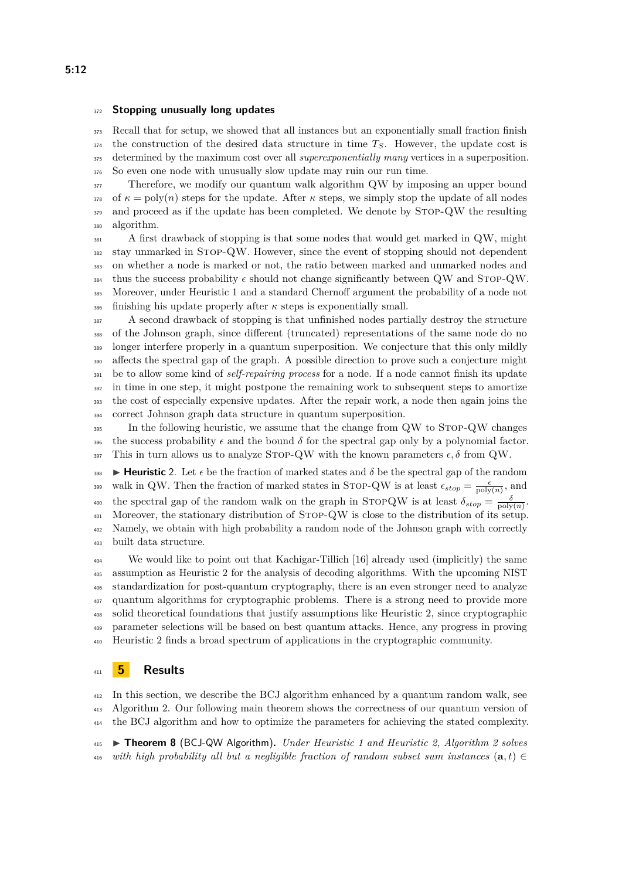#### **Stopping unusually long updates**

 Recall that for setup, we showed that all instances but an exponentially small fraction finish the construction of the desired data structure in time  $T_S$ . However, the update cost is determined by the maximum cost over all *superexponentially many* vertices in a superposition. So even one node with unusually slow update may ruin our run time.

<sup>377</sup> Therefore, we modify our quantum walk algorithm QW by imposing an upper bound 378 of  $\kappa = \text{poly}(n)$  steps for the update. After  $\kappa$  steps, we simply stop the update of all nodes 379 and proceed as if the update has been completed. We denote by STOP-QW the resulting algorithm.

 A first drawback of stopping is that some nodes that would get marked in QW, might stay unmarked in Stop-QW. However, since the event of stopping should not dependent on whether a node is marked or not, the ratio between marked and unmarked nodes and thus the success probability  $\epsilon$  should not change significantly between QW and STOP-QW. Moreover, under Heuristic [1](#page-5-1) and a standard Chernoff argument the probability of a node not finishing his update properly after  $\kappa$  steps is exponentially small.

 A second drawback of stopping is that unfinished nodes partially destroy the structure of the Johnson graph, since different (truncated) representations of the same node do no longer interfere properly in a quantum superposition. We conjecture that this only mildly affects the spectral gap of the graph. A possible direction to prove such a conjecture might be to allow some kind of *self-repairing process* for a node. If a node cannot finish its update <sup>392</sup> in time in one step, it might postpone the remaining work to subsequent steps to amortize the cost of especially expensive updates. After the repair work, a node then again joins the correct Johnson graph data structure in quantum superposition.

<sup>395</sup> In the following heuristic, we assume that the change from QW to STOP-QW changes 396 the success probability  $\epsilon$  and the bound  $\delta$  for the spectral gap only by a polynomial factor. 397 This in turn allows us to analyze STOP-QW with the known parameters  $\epsilon, \delta$  from QW.

<span id="page-11-1"></span>**I Heuristic** 2. Let  $\epsilon$  be the fraction of marked states and  $\delta$  be the spectral gap of the random walk in QW. Then the fraction of marked states in STOP-QW is at least  $\epsilon_{stop} = \frac{\epsilon}{poly(n)}$ , and the spectral gap of the random walk on the graph in STOPQW is at least  $\delta_{stop} = \frac{\delta}{\text{poly}(n)}$ . Moreover, the stationary distribution of Stop-QW is close to the distribution of its setup. Namely, we obtain with high probability a random node of the Johnson graph with correctly built data structure.

 We would like to point out that Kachigar-Tillich [\[16\]](#page-15-6) already used (implicitly) the same assumption as Heuristic [2](#page-11-1) for the analysis of decoding algorithms. With the upcoming NIST standardization for post-quantum cryptography, there is an even stronger need to analyze quantum algorithms for cryptographic problems. There is a strong need to provide more solid theoretical foundations that justify assumptions like Heuristic [2,](#page-11-1) since cryptographic parameter selections will be based on best quantum attacks. Hence, any progress in proving Heuristic [2](#page-11-1) finds a broad spectrum of applications in the cryptographic community.

#### <span id="page-11-0"></span>**5 Results**

 In this section, we describe the BCJ algorithm enhanced by a quantum random walk, see Algorithm [2.](#page-12-0) Our following main theorem shows the correctness of our quantum version of the BCJ algorithm and how to optimize the parameters for achieving the stated complexity.

<span id="page-11-2"></span> I **Theorem 8** (BCJ-QW Algorithm)**.** *Under Heuristic [1](#page-5-1) and Heuristic [2,](#page-11-1) Algorithm [2](#page-12-0) solves* 416 *with high probability all but a negligible fraction of random subset sum instances*  $(\mathbf{a}, t) \in$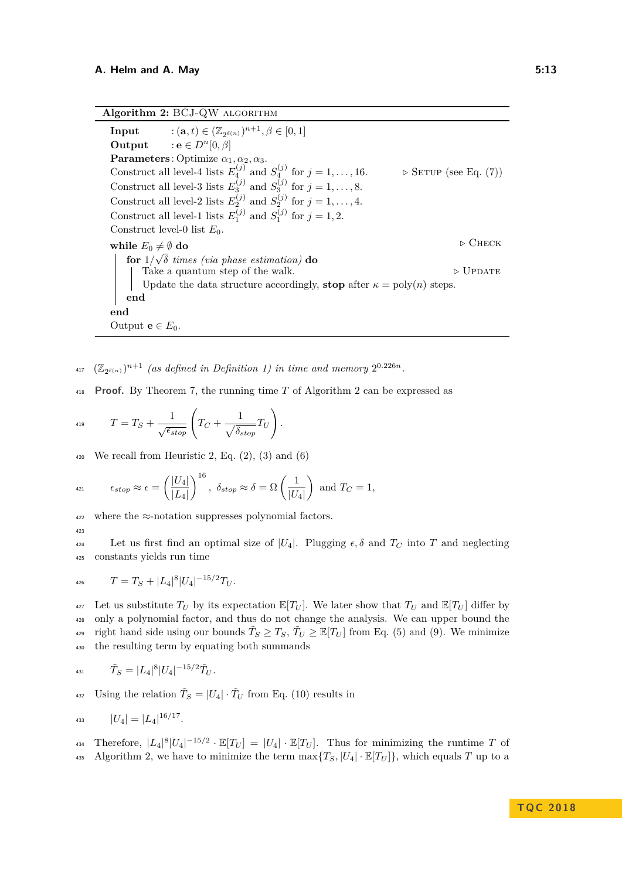**Algorithm 2:** BCJ-QW algorithm

**Input**  $: (\mathbf{a}, t) \in (\mathbb{Z}_{2^{\ell(n)}})^{n+1}, \beta \in [0, 1]$ **Output** : **e**  $\in$   $D^n[0, \beta]$ **Parameters** : Optimize  $\alpha_1, \alpha_2, \alpha_3$ . Construct all level-4 lists  $E_4^{(j)}$  and  $S_4^{(j)}$ . **⊳** SETUP (see Eq. [\(7\)](#page-9-1)) Construct all level-3 lists  $E_3^{(j)}$  and  $S_3^{(j)}$  for  $j = 1, \ldots, 8$ . Construct all level-2 lists  $E_2^{(j)}$  and  $S_2^{(j)}$  for  $j = 1, \ldots, 4$ . Construct all level-1 lists  $E_1^{(j)}$  and  $S_1^{(j)}$  for  $j = 1, 2$ . Construct level-0 list  $E_0$ . **while**  $E_0 \neq \emptyset$  **do**  $\triangleright$  CHECK **for** 1*/ δ times (via phase estimation)* **do** Take a quantum step of the walk.  $\triangleright$  UPDATE Update the data structure accordingly, **stop** after  $\kappa = \text{poly}(n)$  steps. **end end** Output  $e \in E_0$ .

<span id="page-12-0"></span> $\left( \mathbb{Z}_{2^{\ell(n)}} \right)^{n+1}$  (as defined in Definition [1\)](#page-3-1) in time and memory  $2^{0.226n}$ .

<sup>418</sup> **Proof.** By Theorem [7,](#page-10-1) the running time *T* of Algorithm [2](#page-12-0) can be expressed as

$$
T = T_S + \frac{1}{\sqrt{\epsilon_{stop}}} \left( T_C + \frac{1}{\sqrt{\delta_{stop}}} T_U \right).
$$

 $\frac{420}{420}$  We recall from Heuristic [2,](#page-11-1) Eq. [\(2\)](#page-7-1), [\(3\)](#page-8-0) and [\(6\)](#page-9-2)

$$
\epsilon_{stop} \approx \epsilon = \left(\frac{|U_4|}{|L_4|}\right)^{16}, \ \delta_{stop} \approx \delta = \Omega\left(\frac{1}{|U_4|}\right) \text{ and } T_C = 1,
$$

 $422$  where the  $\approx$ -notation suppresses polynomial factors.

423

**Let** us first find an optimal size of  $|U_4|$ . Plugging  $\epsilon, \delta$  and  $T_C$  into *T* and neglecting <sup>425</sup> constants yields run time

$$
T = T_S + |L_4|^8 |U_4|^{-15/2} T_U.
$$

427 Let us substitute  $T_U$  by its expectation  $\mathbb{E}[T_U]$ . We later show that  $T_U$  and  $\mathbb{E}[T_U]$  differ by <sup>428</sup> only a polynomial factor, and thus do not change the analysis. We can upper bound the right hand side using our bounds  $\tilde{T}_S \geq T_S$ ,  $\tilde{T}_U \geq \mathbb{E}[T_U]$  from Eq. [\(5\)](#page-9-0) and [\(9\)](#page-10-0). We minimize <sup>430</sup> the resulting term by equating both summands

$$
I_{31} \qquad \tilde{T}_S = |L_4|^8 |U_4|^{-15/2} \tilde{T}_U.
$$

<sup>432</sup> Using the relation  $\tilde{T}_S = |U_4| \cdot \tilde{T}_U$  from Eq. [\(10\)](#page-10-2) results in

$$
u_{33} \t |U_4| = |L_4|^{16/17}.
$$

 $\mathbb{E}[T_U] = |U_4| \cdot \mathbb{E}[T_U]$ . Thus for minimizing the runtime *T* of 435 Algorithm [2,](#page-12-0) we have to minimize the term  $\max\{T_S, |U_4| \cdot \mathbb{E}[T_U]\}$ , which equals *T* up to a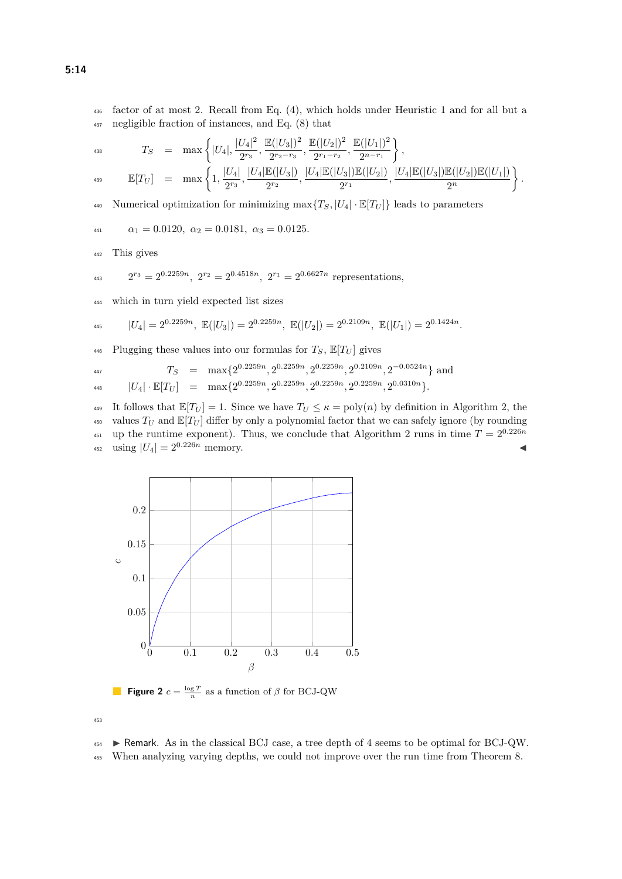<sup>436</sup> factor of at most 2. Recall from Eq. [\(4\)](#page-9-0), which holds under Heuristic [1](#page-5-1) and for all but a <sup>437</sup> negligible fraction of instances, and Eq. [\(8\)](#page-10-0) that

$$
T_S = \max\left\{|U_4|, \frac{|U_4|^2}{2^{r_3}}, \frac{\mathbb{E}(|U_3|)^2}{2^{r_2-r_3}}, \frac{\mathbb{E}(|U_2|)^2}{2^{r_1-r_2}}, \frac{\mathbb{E}(|U_1|)^2}{2^{n-r_1}}\right\},
$$
  

$$
\mathbb{E}[T_U] = \max\left\{1, \frac{|U_4|}{2^{r_3}}, \frac{|U_4|\mathbb{E}(|U_3|)}{2^{r_2}}, \frac{|U_4|\mathbb{E}(|U_3|)\mathbb{E}(|U_2|)}{2^{r_1}}, \frac{|U_4|\mathbb{E}(|U_3|)\mathbb{E}(|U_2|)\mathbb{E}(|U_2|)\mathbb{E}(|U_1|)}{2^n}\right\}.
$$

440 Numerical optimization for minimizing  $\max\{T_S, |U_4| \cdot \mathbb{E}[T_U]\}$  leads to parameters

$$
\alpha_1 = 0.0120, \ \alpha_2 = 0.0181, \ \alpha_3 = 0.0125.
$$

<sup>442</sup> This gives

<sup>443</sup> 
$$
2^{r_3} = 2^{0.2259n}
$$
,  $2^{r_2} = 2^{0.4518n}$ ,  $2^{r_1} = 2^{0.6627n}$  representations,

<sup>444</sup> which in turn yield expected list sizes

$$
|U_4| = 2^{0.2259n}, \ \mathbb{E}(|U_3|) = 2^{0.2259n}, \ \mathbb{E}(|U_2|) = 2^{0.2109n}, \ \mathbb{E}(|U_1|) = 2^{0.1424n}.
$$

<sup>446</sup> Plugging these values into our formulas for  $T_S$ ,  $\mathbb{E}[T_U]$  gives

$$
T_S = \max\{2^{0.2259n}, 2^{0.2259n}, 2^{0.2259n}, 2^{0.2109n}, 2^{-0.0524n}\}\text{ and}
$$

$$
\text{448} \qquad \qquad |U_4|\cdot \mathbb{E}[T_U] \quad = \quad \max\{2^{0.2259n}, 2^{0.2259n}, 2^{0.2259n}, 2^{0.2259n}, 2^{0.0310n}\}.
$$

449 It follows that  $\mathbb{E}[T_U] = 1$ . Since we have  $T_U \le \kappa = \text{poly}(n)$  by definition in Algorithm [2,](#page-12-0) the 450 values  $T_U$  and  $\mathbb{E}[T_U]$  differ by only a polynomial factor that we can safely ignore (by rounding <sup>451</sup> up the runtime exponent). Thus, we conclude that Algorithm [2](#page-12-0) runs in time  $T = 2^{0.226n}$  $\text{using } |U_4| = 2^{0.226n} \text{ memory.}$ 

<span id="page-13-0"></span>

**Figure 2**  $c = \frac{\log T}{n}$  as a function of  $\beta$  for BCJ-QW

453

 $454$  **Exercise** F Remark. As in the classical BCJ case, a tree depth of 4 seems to be optimal for BCJ-QW.

<sup>455</sup> When analyzing varying depths, we could not improve over the run time from Theorem [8.](#page-11-2)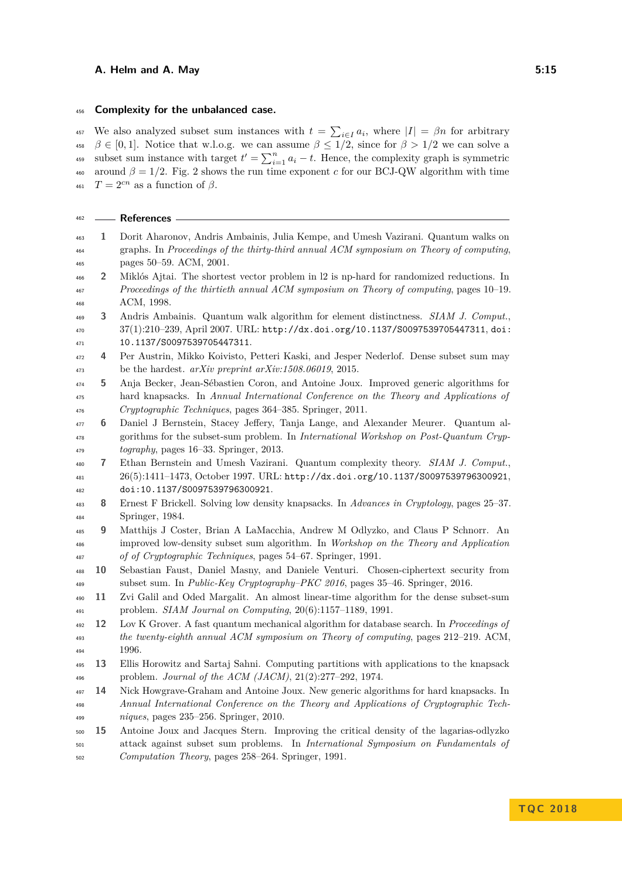### **Complexity for the unbalanced case.**

<sup>457</sup> We also analyzed subset sum instances with  $t = \sum_{i \in I} a_i$ , where  $|I| = \beta n$  for arbitrary  $\beta \in [0, 1].$  Notice that w.l.o.g. we can assume  $\beta \leq 1/2$ , since for  $\beta > 1/2$  we can solve a subset sum instance with target  $t' = \sum_{i=1}^{n} a_i - t$ . Hence, the complexity graph is symmetric 460 around  $\beta = 1/2$ . Fig. [2](#page-13-0) shows the run time exponent *c* for our BCJ-QW algorithm with time <sup>461</sup>  $T = 2^{cn}$  as a function of  $\beta$ .

<span id="page-14-13"></span><span id="page-14-12"></span><span id="page-14-10"></span><span id="page-14-9"></span><span id="page-14-7"></span><span id="page-14-3"></span>

| 462        |    | – References                                                                                                                                           |
|------------|----|--------------------------------------------------------------------------------------------------------------------------------------------------------|
| 463        | 1  | Dorit Aharonov, Andris Ambainis, Julia Kempe, and Umesh Vazirani. Quantum walks on                                                                     |
| 464        |    | graphs. In Proceedings of the thirty-third annual ACM symposium on Theory of computing,                                                                |
| 465        |    | pages 50–59. ACM, 2001.                                                                                                                                |
| 466        | 2  | Miklós Ajtai. The shortest vector problem in 12 is np-hard for randomized reductions. In                                                               |
| 467        |    | Proceedings of the thirtieth annual ACM symposium on Theory of computing, pages 10-19.                                                                 |
| 468        |    | ACM, 1998.                                                                                                                                             |
| 469        | 3  | Andris Ambainis. Quantum walk algorithm for element distinctness. SIAM J. Comput.,                                                                     |
| 470<br>471 |    | $37(1):210-239$ , April 2007. URL: http://dx.doi.org/10.1137/S0097539705447311, doi:<br>10.1137/S0097539705447311.                                     |
| 472        | 4  | Per Austrin, Mikko Koivisto, Petteri Kaski, and Jesper Nederlof. Dense subset sum may                                                                  |
| 473        |    | be the hardest. $arXiv$ preprint $arXiv:1508.06019$ , 2015.                                                                                            |
| 474        | 5  | Anja Becker, Jean-Sébastien Coron, and Antoine Joux. Improved generic algorithms for                                                                   |
| 475        |    | hard knapsacks. In Annual International Conference on the Theory and Applications of                                                                   |
| 476        |    | Cryptographic Techniques, pages 364-385. Springer, 2011.                                                                                               |
| 477        | 6  | Daniel J Bernstein, Stacey Jeffery, Tanja Lange, and Alexander Meurer. Quantum al-                                                                     |
| 478        |    | gorithms for the subset-sum problem. In International Workshop on Post-Quantum Cryp-                                                                   |
| 479        |    | $to graphy$ , pages 16–33. Springer, 2013.                                                                                                             |
| 480        | 7  | Ethan Bernstein and Umesh Vazirani. Quantum complexity theory. SIAM J. Comput.,                                                                        |
| 481        |    | 26(5):1411-1473, October 1997. URL: http://dx.doi.org/10.1137/S0097539796300921,                                                                       |
| 482        | 8  | doi:10.1137/S0097539796300921.<br>Ernest F Brickell. Solving low density knapsacks. In Advances in Cryptology, pages 25–37.                            |
| 483<br>484 |    | Springer, 1984.                                                                                                                                        |
| 485        | 9  | Matthijs J Coster, Brian A LaMacchia, Andrew M Odlyzko, and Claus P Schnorr. An                                                                        |
| 486        |    | improved low-density subset sum algorithm. In Workshop on the Theory and Application                                                                   |
| 487        |    | of of Cryptographic Techniques, pages 54–67. Springer, 1991.                                                                                           |
| 488        | 10 | Sebastian Faust, Daniel Masny, and Daniele Venturi. Chosen-ciphertext security from                                                                    |
| 489        |    | subset sum. In <i>Public-Key Cryptography-PKC 2016</i> , pages 35-46. Springer, 2016.                                                                  |
| 490        | 11 | Zvi Galil and Oded Margalit. An almost linear-time algorithm for the dense subset-sum                                                                  |
| 491        |    | problem. SIAM Journal on Computing, 20(6):1157-1189, 1991.                                                                                             |
| 492        | 12 | Lov K Grover. A fast quantum mechanical algorithm for database search. In Proceedings of                                                               |
| 493        |    | the twenty-eighth annual ACM symposium on Theory of computing, pages 212-219. ACM,                                                                     |
| 494        |    | 1996.                                                                                                                                                  |
| 495<br>496 | 13 | Ellis Horowitz and Sartaj Sahni. Computing partitions with applications to the knapsack<br>problem. Journal of the ACM (JACM), $21(2):277-292$ , 1974. |
| 497        | 14 | Nick Howgrave-Graham and Antoine Joux. New generic algorithms for hard knapsacks. In                                                                   |
| 498        |    | Annual International Conference on the Theory and Applications of Cryptographic Tech-                                                                  |
| 499        |    | $niques$ , pages 235-256. Springer, 2010.                                                                                                              |
| 500        | 15 | Antoine Joux and Jacques Stern. Improving the critical density of the lagarias-odlyzko                                                                 |
| 501        |    | attack against subset sum problems. In International Symposium on Fundamentals of                                                                      |

<span id="page-14-11"></span><span id="page-14-8"></span><span id="page-14-6"></span><span id="page-14-5"></span><span id="page-14-4"></span><span id="page-14-2"></span><span id="page-14-1"></span><span id="page-14-0"></span>*Computation Theory*, pages 258–264. Springer, 1991.